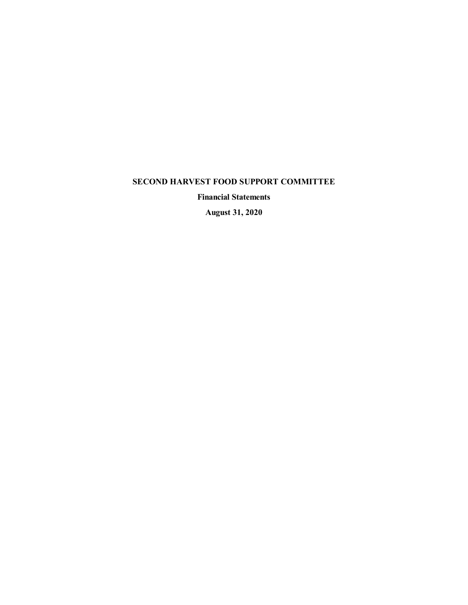**Financial Statements**

**August 31, 2020**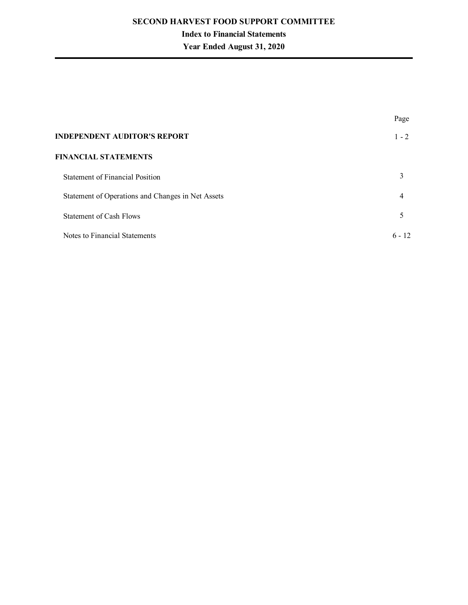# **Index to Financial Statements**

# **Year Ended August 31, 2020**

|                                                   | Page     |
|---------------------------------------------------|----------|
| <b>INDEPENDENT AUDITOR'S REPORT</b>               | $1 - 2$  |
| <b>FINANCIAL STATEMENTS</b>                       |          |
| <b>Statement of Financial Position</b>            | 3        |
| Statement of Operations and Changes in Net Assets | 4        |
| Statement of Cash Flows                           | 5        |
| Notes to Financial Statements                     | $6 - 12$ |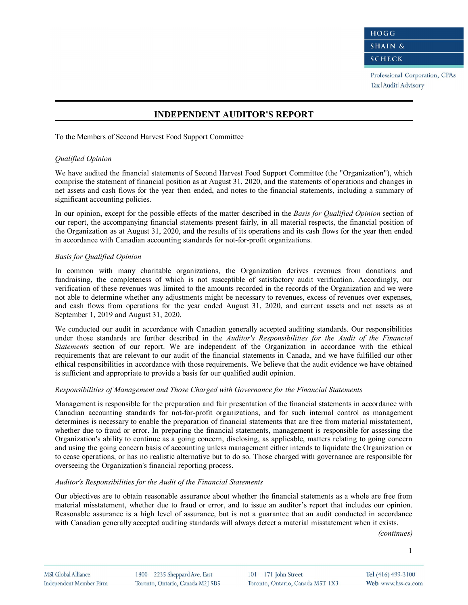Professional Corporation, CPAs Tax | Audit | Advisory

# **INDEPENDENT AUDITOR'S REPORT**

To the Members of Second Harvest Food Support Committee

#### *Qualified Opinion*

We have audited the financial statements of Second Harvest Food Support Committee (the "Organization"), which comprise the statement of financial position as at August 31, 2020, and the statements of operations and changes in net assets and cash flows for the year then ended, and notes to the financial statements, including a summary of significant accounting policies.

In our opinion, except for the possible effects of the matter described in the *Basis for Qualified Opinion* section of our report, the accompanying financial statements present fairly, in all material respects, the financial position of the Organization as at August 31, 2020, and the results of its operations and its cash flows for the year then ended in accordance with Canadian accounting standards for not-for-profit organizations.

#### *Basis for Qualified Opinion*

In common with many charitable organizations, the Organization derives revenues from donations and fundraising, the completeness of which is not susceptible of satisfactory audit verification. Accordingly, our verification of these revenues was limited to the amounts recorded in the records of the Organization and we were not able to determine whether any adjustments might be necessary to revenues, excess of revenues over expenses, and cash flows from operations for the year ended August 31, 2020, and current assets and net assets as at September 1, 2019 and August 31, 2020.

We conducted our audit in accordance with Canadian generally accepted auditing standards. Our responsibilities under those standards are further described in the *Auditor's Responsibilities for the Audit of the Financial Statements* section of our report. We are independent of the Organization in accordance with the ethical requirements that are relevant to our audit of the financial statements in Canada, and we have fulfilled our other ethical responsibilities in accordance with those requirements. We believe that the audit evidence we have obtained is sufficient and appropriate to provide a basis for our qualified audit opinion.

#### *Responsibilities of Management and Those Charged with Governance for the Financial Statements*

Management is responsible for the preparation and fair presentation of the financial statements in accordance with Canadian accounting standards for not-for-profit organizations, and for such internal control as management determines is necessary to enable the preparation of financial statements that are free from material misstatement, whether due to fraud or error. In preparing the financial statements, management is responsible for assessing the Organization's ability to continue as a going concern, disclosing, as applicable, matters relating to going concern and using the going concern basis of accounting unless management either intends to liquidate the Organization or to cease operations, or has no realistic alternative but to do so. Those charged with governance are responsible for overseeing the Organization's financial reporting process.

#### *Auditor's Responsibilities for the Audit of the Financial Statements*

Our objectives are to obtain reasonable assurance about whether the financial statements as a whole are free from material misstatement, whether due to fraud or error, and to issue an auditor's report that includes our opinion. Reasonable assurance is a high level of assurance, but is not a guarantee that an audit conducted in accordance with Canadian generally accepted auditing standards will always detect a material misstatement when it exists.

*(continues)*

1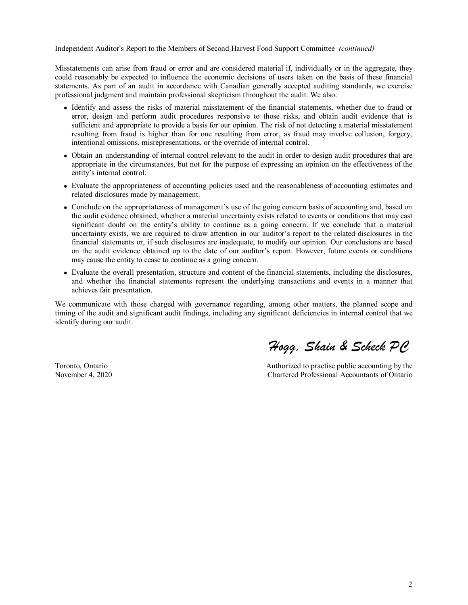Independent Auditor's Report to the Members of Second Harvest Food Support Committee *(continued)*

Misstatements can arise from fraud or error and are considered material if, individually or in the aggregate, they could reasonably be expected to influence the economic decisions of users taken on the basis of these financial statements. As part of an audit in accordance with Canadian generally accepted auditing standards, we exercise professional judgment and maintain professional skepticism throughout the audit. We also:

- <sup>l</sup> Identify and assess the risks of material misstatement of the financial statements, whether due to fraud or error, design and perform audit procedures responsive to those risks, and obtain audit evidence that is sufficient and appropriate to provide a basis for our opinion. The risk of not detecting a material misstatement resulting from fraud is higher than for one resulting from error, as fraud may involve collusion, forgery, intentional omissions, misrepresentations, or the override of internal control.
- Obtain an understanding of internal control relevant to the audit in order to design audit procedures that are appropriate in the circumstances, but not for the purpose of expressing an opinion on the effectiveness of the entity's internal control.
- <sup>l</sup> Evaluate the appropriateness of accounting policies used and the reasonableness of accounting estimates and related disclosures made by management.
- Conclude on the appropriateness of management's use of the going concern basis of accounting and, based on the audit evidence obtained, whether a material uncertainty exists related to events or conditions that may cast significant doubt on the entity's ability to continue as a going concern. If we conclude that a material uncertainty exists, we are required to draw attention in our auditor's report to the related disclosures in the financial statements or, if such disclosures are inadequate, to modify our opinion. Our conclusions are based on the audit evidence obtained up to the date of our auditor's report. However, future events or conditions may cause the entity to cease to continue as a going concern.
- Evaluate the overall presentation, structure and content of the financial statements, including the disclosures, and whether the financial statements represent the underlying transactions and events in a manner that achieves fair presentation.

We communicate with those charged with governance regarding, among other matters, the planned scope and timing of the audit and significant audit findings, including any significant deficiencies in internal control that we identify during our audit.

Toronto, Ontario November 4, 2020

*Hogg, Shain & Scheck PC*

Authorized to practise public accounting by the Chartered Professional Accountants of Ontario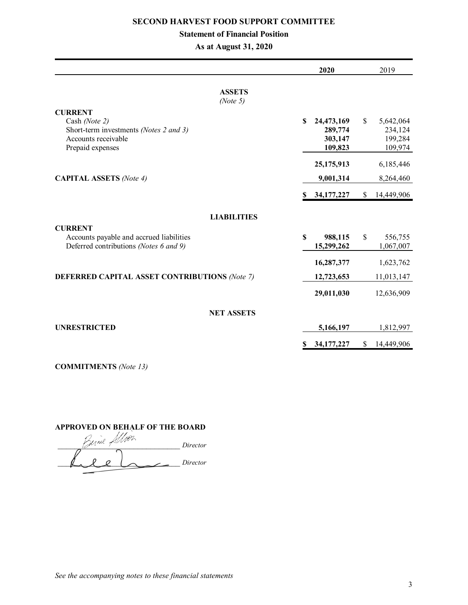# **Statement of Financial Position**

**As at August 31, 2020**

|                                                                                                                      |             | 2020                                        |              | 2019                                       |
|----------------------------------------------------------------------------------------------------------------------|-------------|---------------------------------------------|--------------|--------------------------------------------|
| <b>ASSETS</b><br>(Note 5)                                                                                            |             |                                             |              |                                            |
| <b>CURRENT</b><br>Cash (Note 2)<br>Short-term investments (Notes 2 and 3)<br>Accounts receivable<br>Prepaid expenses | \$          | 24,473,169<br>289,774<br>303,147<br>109,823 | \$           | 5,642,064<br>234,124<br>199,284<br>109,974 |
| <b>CAPITAL ASSETS</b> (Note 4)                                                                                       |             | 25,175,913<br>9,001,314                     |              | 6,185,446<br>8,264,460                     |
|                                                                                                                      | \$          | 34, 177, 227                                | \$           | 14,449,906                                 |
| <b>LIABILITIES</b>                                                                                                   |             |                                             |              |                                            |
| <b>CURRENT</b><br>Accounts payable and accrued liabilities<br>Deferred contributions (Notes 6 and 9)                 | $\mathbf S$ | 988,115<br>15,299,262                       | $\mathbb{S}$ | 556,755<br>1,067,007                       |
|                                                                                                                      |             | 16,287,377                                  |              | 1,623,762                                  |
| <b>DEFERRED CAPITAL ASSET CONTRIBUTIONS (Note 7)</b>                                                                 |             | 12,723,653                                  |              | 11,013,147                                 |
|                                                                                                                      |             | 29,011,030                                  |              | 12,636,909                                 |
| <b>NET ASSETS</b>                                                                                                    |             |                                             |              |                                            |
| <b>UNRESTRICTED</b>                                                                                                  |             | 5,166,197                                   |              | 1,812,997                                  |
|                                                                                                                      | S           | 34, 177, 227                                | \$           | 14,449,906                                 |

**COMMITMENTS** *(Note 13)*

**APPROVED ON BEHALF OF THE BOARD**

\_\_\_\_\_\_\_\_\_\_\_\_\_\_\_\_\_\_\_\_\_\_\_\_\_\_\_\_\_ *Director* Director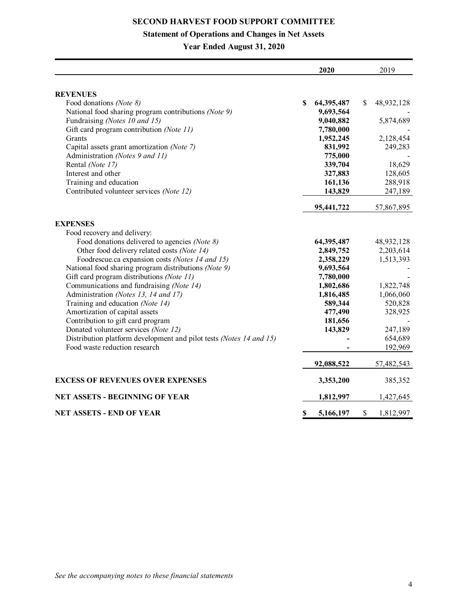# **Statement of Operations and Changes in Net Assets**

**Year Ended August 31, 2020**

|                                                                     |    | 2020       | 2019             |
|---------------------------------------------------------------------|----|------------|------------------|
|                                                                     |    |            |                  |
| <b>REVENUES</b>                                                     |    |            |                  |
| Food donations (Note 8)                                             | S  | 64,395,487 | \$<br>48,932,128 |
| National food sharing program contributions (Note 9)                |    | 9,693,564  |                  |
| Fundraising (Notes 10 and 15)                                       |    | 9,040,882  | 5,874,689        |
| Gift card program contribution (Note 11)                            |    | 7,780,000  |                  |
| Grants                                                              |    | 1,952,245  | 2,128,454        |
| Capital assets grant amortization (Note 7)                          |    | 831,992    | 249,283          |
| Administration (Notes 9 and 11)                                     |    | 775,000    |                  |
| Rental (Note 17)                                                    |    | 339,704    | 18,629           |
| Interest and other                                                  |    | 327,883    | 128,605          |
| Training and education                                              |    | 161,136    | 288,918          |
| Contributed volunteer services (Note 12)                            |    | 143,829    | 247,189          |
|                                                                     |    | 95,441,722 | 57,867,895       |
| <b>EXPENSES</b>                                                     |    |            |                  |
| Food recovery and delivery:                                         |    |            |                  |
| Food donations delivered to agencies (Note 8)                       |    | 64,395,487 | 48,932,128       |
| Other food delivery related costs (Note 14)                         |    | 2,849,752  | 2,203,614        |
| Foodrescue.ca expansion costs (Notes 14 and 15)                     |    | 2,358,229  | 1,513,393        |
| National food sharing program distributions (Note 9)                |    | 9,693,564  |                  |
| Gift card program distributions (Note 11)                           |    | 7,780,000  |                  |
| Communications and fundraising (Note 14)                            |    | 1,802,686  | 1,822,748        |
| Administration (Notes 13, 14 and 17)                                |    | 1,816,485  | 1,066,060        |
| Training and education (Note 14)                                    |    | 589,344    | 520,828          |
| Amortization of capital assets                                      |    | 477,490    | 328,925          |
| Contribution to gift card program                                   |    | 181,656    |                  |
| Donated volunteer services (Note 12)                                |    | 143,829    | 247,189          |
| Distribution platform development and pilot tests (Notes 14 and 15) |    |            | 654,689          |
| Food waste reduction research                                       |    |            | 192,969          |
|                                                                     |    | 92,088,522 | 57,482,543       |
| <b>EXCESS OF REVENUES OVER EXPENSES</b>                             |    | 3,353,200  | 385,352          |
| <b>NET ASSETS - BEGINNING OF YEAR</b>                               |    | 1,812,997  | 1,427,645        |
|                                                                     |    |            |                  |
| <b>NET ASSETS - END OF YEAR</b>                                     | \$ | 5,166,197  | \$<br>1,812,997  |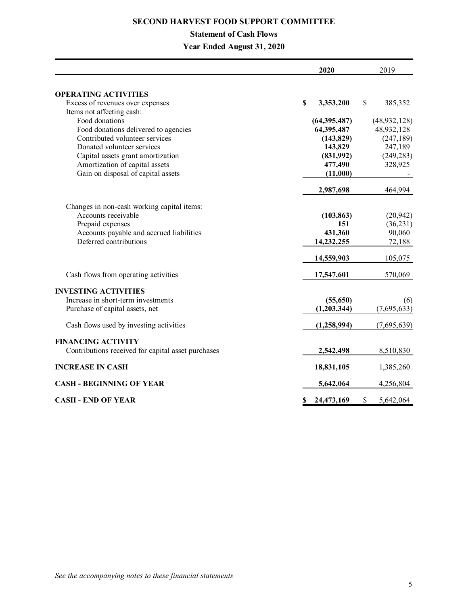# **Statement of Cash Flows**

**Year Ended August 31, 2020**

|                                                    | 2020             |              | 2019           |
|----------------------------------------------------|------------------|--------------|----------------|
|                                                    |                  |              |                |
| <b>OPERATING ACTIVITIES</b>                        |                  |              |                |
| Excess of revenues over expenses                   | \$<br>3,353,200  | $\mathbb{S}$ | 385,352        |
| Items not affecting cash:                          |                  |              |                |
| Food donations                                     | (64, 395, 487)   |              | (48, 932, 128) |
| Food donations delivered to agencies               | 64,395,487       |              | 48,932,128     |
| Contributed volunteer services                     | (143, 829)       |              | (247, 189)     |
| Donated volunteer services                         | 143,829          |              | 247,189        |
| Capital assets grant amortization                  | (831,992)        |              | (249, 283)     |
| Amortization of capital assets                     | 477,490          |              | 328,925        |
| Gain on disposal of capital assets                 | (11,000)         |              |                |
|                                                    | 2,987,698        |              | 464,994        |
| Changes in non-cash working capital items:         |                  |              |                |
| Accounts receivable                                | (103, 863)       |              | (20, 942)      |
| Prepaid expenses                                   | 151              |              | (36,231)       |
| Accounts payable and accrued liabilities           | 431,360          |              | 90,060         |
| Deferred contributions                             | 14,232,255       |              | 72,188         |
|                                                    | 14,559,903       |              | 105,075        |
| Cash flows from operating activities               | 17,547,601       |              | 570,069        |
| <b>INVESTING ACTIVITIES</b>                        |                  |              |                |
| Increase in short-term investments                 | (55,650)         |              | (6)            |
| Purchase of capital assets, net                    | (1,203,344)      |              | (7,695,633)    |
| Cash flows used by investing activities            | (1,258,994)      |              | (7,695,639)    |
| <b>FINANCING ACTIVITY</b>                          |                  |              |                |
| Contributions received for capital asset purchases | 2,542,498        |              | 8,510,830      |
| <b>INCREASE IN CASH</b>                            | 18,831,105       |              | 1,385,260      |
| <b>CASH - BEGINNING OF YEAR</b>                    | 5,642,064        |              | 4,256,804      |
| <b>CASH - END OF YEAR</b>                          | \$<br>24,473,169 | \$           | 5,642,064      |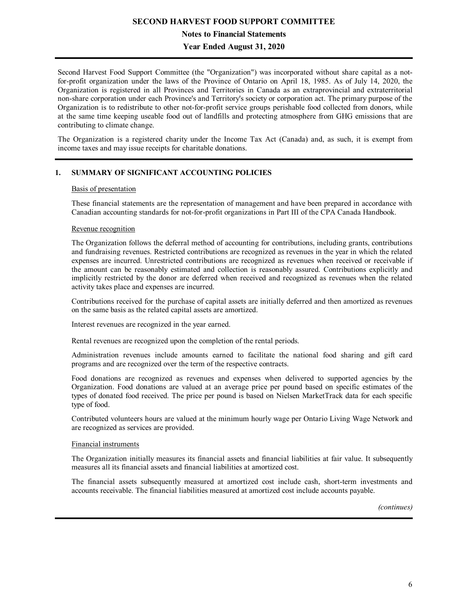**Notes to Financial Statements**

**Year Ended August 31, 2020**

Second Harvest Food Support Committee (the "Organization") was incorporated without share capital as a notfor-profit organization under the laws of the Province of Ontario on April 18, 1985. As of July 14, 2020, the Organization is registered in all Provinces and Territories in Canada as an extraprovincial and extraterritorial non-share corporation under each Province's and Territory's society or corporation act. The primary purpose of the Organization is to redistribute to other not-for-profit service groups perishable food collected from donors, while at the same time keeping useable food out of landfills and protecting atmosphere from GHG emissions that are contributing to climate change.

The Organization is a registered charity under the Income Tax Act (Canada) and, as such, it is exempt from income taxes and may issue receipts for charitable donations.

# **1. SUMMARY OF SIGNIFICANT ACCOUNTING POLICIES**

#### Basis of presentation

These financial statements are the representation of management and have been prepared in accordance with Canadian accounting standards for not-for-profit organizations in Part III of the CPA Canada Handbook.

#### Revenue recognition

The Organization follows the deferral method of accounting for contributions, including grants, contributions and fundraising revenues. Restricted contributions are recognized as revenues in the year in which the related expenses are incurred. Unrestricted contributions are recognized as revenues when received or receivable if the amount can be reasonably estimated and collection is reasonably assured. Contributions explicitly and implicitly restricted by the donor are deferred when received and recognized as revenues when the related activity takes place and expenses are incurred.

Contributions received for the purchase of capital assets are initially deferred and then amortized as revenues on the same basis as the related capital assets are amortized.

Interest revenues are recognized in the year earned.

Rental revenues are recognized upon the completion of the rental periods.

Administration revenues include amounts earned to facilitate the national food sharing and gift card programs and are recognized over the term of the respective contracts.

Food donations are recognized as revenues and expenses when delivered to supported agencies by the Organization. Food donations are valued at an average price per pound based on specific estimates of the types of donated food received. The price per pound is based on Nielsen MarketTrack data for each specific type of food.

Contributed volunteers hours are valued at the minimum hourly wage per Ontario Living Wage Network and are recognized as services are provided.

#### Financial instruments

The Organization initially measures its financial assets and financial liabilities at fair value. It subsequently measures all its financial assets and financial liabilities at amortized cost.

The financial assets subsequently measured at amortized cost include cash, short-term investments and accounts receivable. The financial liabilities measured at amortized cost include accounts payable.

*(continues)*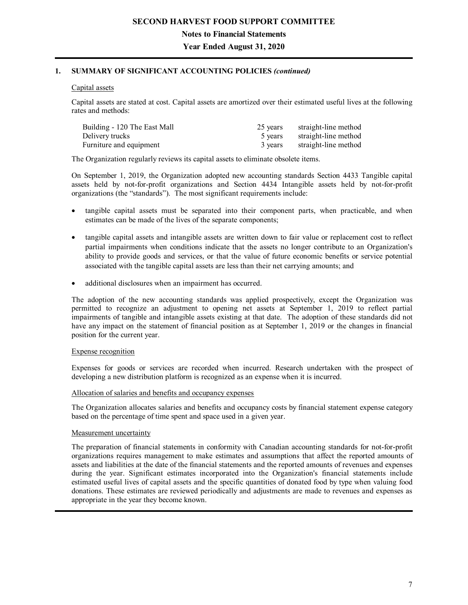**Year Ended August 31, 2020**

# **1. SUMMARY OF SIGNIFICANT ACCOUNTING POLICIES** *(continued)*

## Capital assets

Capital assets are stated at cost. Capital assets are amortized over their estimated useful lives at the following rates and methods:

| Building - 120 The East Mall | 25 years | straight-line method |
|------------------------------|----------|----------------------|
| Delivery trucks              | 5 years  | straight-line method |
| Furniture and equipment      | 3 years  | straight-line method |

The Organization regularly reviews its capital assets to eliminate obsolete items.

On September 1, 2019, the Organization adopted new accounting standards Section 4433 Tangible capital assets held by not-for-profit organizations and Section 4434 Intangible assets held by not-for-profit organizations (the "standards"). The most significant requirements include:

- tangible capital assets must be separated into their component parts, when practicable, and when estimates can be made of the lives of the separate components;
- tangible capital assets and intangible assets are written down to fair value or replacement cost to reflect partial impairments when conditions indicate that the assets no longer contribute to an Organization's ability to provide goods and services, or that the value of future economic benefits or service potential associated with the tangible capital assets are less than their net carrying amounts; and
- additional disclosures when an impairment has occurred.

The adoption of the new accounting standards was applied prospectively, except the Organization was permitted to recognize an adjustment to opening net assets at September 1, 2019 to reflect partial impairments of tangible and intangible assets existing at that date. The adoption of these standards did not have any impact on the statement of financial position as at September 1, 2019 or the changes in financial position for the current year.

#### Expense recognition

Expenses for goods or services are recorded when incurred. Research undertaken with the prospect of developing a new distribution platform is recognized as an expense when it is incurred.

## Allocation of salaries and benefits and occupancy expenses

The Organization allocates salaries and benefits and occupancy costs by financial statement expense category based on the percentage of time spent and space used in a given year.

#### Measurement uncertainty

The preparation of financial statements in conformity with Canadian accounting standards for not-for-profit organizations requires management to make estimates and assumptions that affect the reported amounts of assets and liabilities at the date of the financial statements and the reported amounts of revenues and expenses during the year. Significant estimates incorporated into the Organization's financial statements include estimated useful lives of capital assets and the specific quantities of donated food by type when valuing food donations. These estimates are reviewed periodically and adjustments are made to revenues and expenses as appropriate in the year they become known.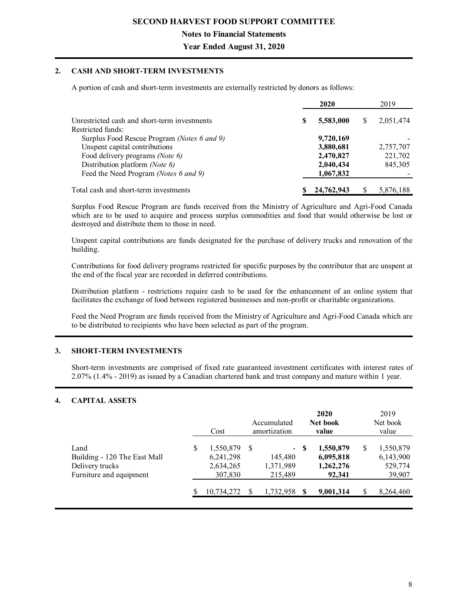**Notes to Financial Statements**

**Year Ended August 31, 2020**

# **2. CASH AND SHORT-TERM INVESTMENTS**

A portion of cash and short-term investments are externally restricted by donors as follows:

|                                              |   | 2020       |   | 2019      |
|----------------------------------------------|---|------------|---|-----------|
| Unrestricted cash and short-term investments | S | 5,583,000  | S | 2,051,474 |
| Restricted funds:                            |   |            |   |           |
| Surplus Food Rescue Program (Notes 6 and 9)  |   | 9,720,169  |   |           |
| Unspent capital contributions                |   | 3,880,681  |   | 2,757,707 |
| Food delivery programs (Note 6)              |   | 2,470,827  |   | 221,702   |
| Distribution platform (Note 6)               |   | 2,040,434  |   | 845,305   |
| Feed the Need Program (Notes 6 and 9)        |   | 1,067,832  |   |           |
| Total cash and short-term investments        |   | 24,762,943 |   | 5,876,188 |

Surplus Food Rescue Program are funds received from the Ministry of Agriculture and Agri-Food Canada which are to be used to acquire and process surplus commodities and food that would otherwise be lost or destroyed and distribute them to those in need.

Unspent capital contributions are funds designated for the purchase of delivery trucks and renovation of the building.

Contributions for food delivery programs restricted for specific purposes by the contributor that are unspent at the end of the fiscal year are recorded in deferred contributions.

Distribution platform - restrictions require cash to be used for the enhancement of an online system that facilitates the exchange of food between registered businesses and non-profit or charitable organizations.

Feed the Need Program are funds received from the Ministry of Agriculture and Agri-Food Canada which are to be distributed to recipients who have been selected as part of the program.

## **3. SHORT-TERM INVESTMENTS**

Short-term investments are comprised of fixed rate guaranteed investment certificates with interest rates of 2.07% (1.4% - 2019) as issued by a Canadian chartered bank and trust company and mature within 1 year.

## **4. CAPITAL ASSETS**

|                                                                                    |   | Cost                                           |    | Accumulated<br>amortization                       |   | 2020<br>Net book<br>value                     |   | 2019<br>Net book<br>value                   |
|------------------------------------------------------------------------------------|---|------------------------------------------------|----|---------------------------------------------------|---|-----------------------------------------------|---|---------------------------------------------|
| Land<br>Building - 120 The East Mall<br>Delivery trucks<br>Furniture and equipment | S | 1,550,879<br>6,241,298<br>2,634,265<br>307,830 | -S | $\blacksquare$<br>145,480<br>1,371,989<br>215,489 | S | 1,550,879<br>6,095,818<br>1,262,276<br>92,341 | S | 1,550,879<br>6,143,900<br>529,774<br>39,907 |
|                                                                                    |   | 10,734,272                                     |    | 1,732,958                                         |   | 9,001,314                                     | S | 8,264,460                                   |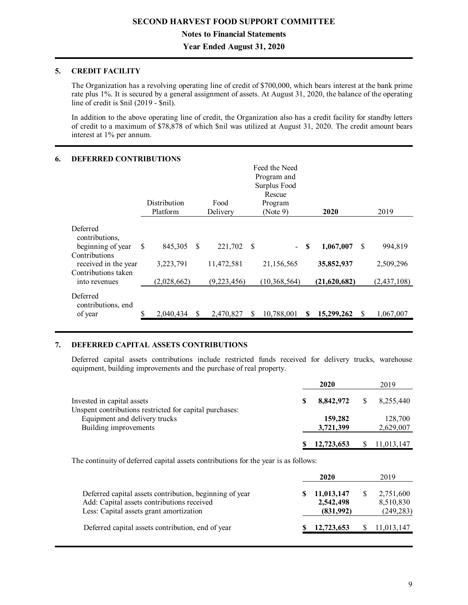**Year Ended August 31, 2020**

# **5. CREDIT FACILITY**

The Organization has a revolving operating line of credit of \$700,000, which bears interest at the bank prime rate plus 1%. It is secured by a general assignment of assets. At August 31, 2020, the balance of the operating line of credit is \$nil (2019 - \$nil).

In addition to the above operating line of credit, the Organization also has a credit facility for standby letters of credit to a maximum of \$78,878 of which \$nil was utilized at August 31, 2020. The credit amount bears interest at 1% per annum.

#### **6. DEFERRED CONTRIBUTIONS**

|                                                                               | Feed the Need<br>Program and<br>Surplus Food<br>Rescue |                          |              |                           |    |                              |   |                            |               |                            |
|-------------------------------------------------------------------------------|--------------------------------------------------------|--------------------------|--------------|---------------------------|----|------------------------------|---|----------------------------|---------------|----------------------------|
|                                                                               |                                                        | Distribution             |              | Food                      |    | Program                      |   |                            |               |                            |
|                                                                               |                                                        | Platform                 |              | Delivery                  |    | (Note 9)                     |   | 2020                       |               | 2019                       |
| Deferred<br>contributions,<br>beginning of year                               | <sup>\$</sup>                                          | 845,305                  | -S           | 221,702                   | -S | $\overline{\phantom{0}}$     | S | 1,067,007                  | <sup>\$</sup> | 994.819                    |
| Contributions<br>received in the year<br>Contributions taken<br>into revenues |                                                        | 3,223,791<br>(2,028,662) |              | 11,472,581<br>(9,223,456) |    | 21,156,565<br>(10, 368, 564) |   | 35,852,937<br>(21,620,682) |               | 2,509,296<br>(2, 437, 108) |
| Deferred<br>contributions, end<br>of year                                     |                                                        | 2,040,434                | <sup>S</sup> | 2,470,827                 |    | 10,788,001                   |   | 15,299,262                 | -S            | 1,067,007                  |

## **7. DEFERRED CAPITAL ASSETS CONTRIBUTIONS**

Deferred capital assets contributions include restricted funds received for delivery trucks, warehouse equipment, building improvements and the purchase of real property.

|                                                         | 2020       | 2019       |
|---------------------------------------------------------|------------|------------|
| Invested in capital assets                              | 8.842.972  | 8,255,440  |
| Unspent contributions restricted for capital purchases: |            |            |
| Equipment and delivery trucks                           | 159,282    | 128,700    |
| Building improvements                                   | 3,721,399  | 2,629,007  |
|                                                         |            |            |
|                                                         | 12,723,653 | 11,013,147 |

The continuity of deferred capital assets contributions for the year is as follows:

|                                                                                                                                                  | 2020                                 | 2019                                 |
|--------------------------------------------------------------------------------------------------------------------------------------------------|--------------------------------------|--------------------------------------|
| Deferred capital assets contribution, beginning of year<br>Add: Capital assets contributions received<br>Less: Capital assets grant amortization | 11,013,147<br>2,542,498<br>(831,992) | 2,751,600<br>8,510,830<br>(249, 283) |
| Deferred capital assets contribution, end of year                                                                                                | 12,723,653                           | 11,013,147                           |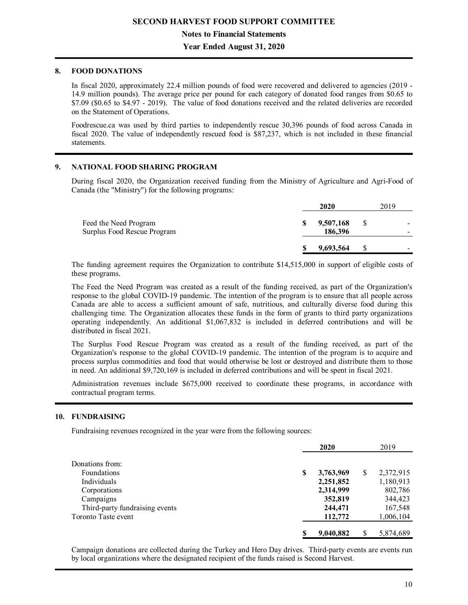# **Year Ended August 31, 2020**

### **8. FOOD DONATIONS**

In fiscal 2020, approximately 22.4 million pounds of food were recovered and delivered to agencies (2019 - 14.9 million pounds). The average price per pound for each category of donated food ranges from \$0.65 to \$7.09 (\$0.65 to \$4.97 - 2019). The value of food donations received and the related deliveries are recorded on the Statement of Operations.

Foodrescue.ca was used by third parties to independently rescue 30,396 pounds of food across Canada in fiscal 2020. The value of independently rescued food is \$87,237, which is not included in these financial statements.

#### **9. NATIONAL FOOD SHARING PROGRAM**

During fiscal 2020, the Organization received funding from the Ministry of Agriculture and Agri-Food of Canada (the "Ministry") for the following programs:

|                                                      |   | 2020                 |   | 2019 |  |
|------------------------------------------------------|---|----------------------|---|------|--|
| Feed the Need Program<br>Surplus Food Rescue Program | S | 9,507,168<br>186.396 | S |      |  |
|                                                      |   | 9,693,564            |   |      |  |

The funding agreement requires the Organization to contribute \$14,515,000 in support of eligible costs of these programs.

The Feed the Need Program was created as a result of the funding received, as part of the Organization's response to the global COVID-19 pandemic. The intention of the program is to ensure that all people across Canada are able to access a sufficient amount of safe, nutritious, and culturally diverse food during this challenging time. The Organization allocates these funds in the form of grants to third party organizations operating independently. An additional \$1,067,832 is included in deferred contributions and will be distributed in fiscal 2021.

The Surplus Food Rescue Program was created as a result of the funding received, as part of the Organization's response to the global COVID-19 pandemic. The intention of the program is to acquire and process surplus commodities and food that would otherwise be lost or destroyed and distribute them to those in need. An additional \$9,720,169 is included in deferred contributions and will be spent in fiscal 2021.

Administration revenues include \$675,000 received to coordinate these programs, in accordance with contractual program terms.

#### **10. FUNDRAISING**

Fundraising revenues recognized in the year were from the following sources:

|                                |   | 2020      |   | 2019      |
|--------------------------------|---|-----------|---|-----------|
| Donations from:                |   |           |   |           |
|                                |   |           |   |           |
| Foundations                    | S | 3,763,969 | S | 2,372,915 |
| <b>Individuals</b>             |   | 2,251,852 |   | 1,180,913 |
| Corporations                   |   | 2,314,999 |   | 802,786   |
| Campaigns                      |   | 352,819   |   | 344,423   |
| Third-party fundraising events |   | 244,471   |   | 167,548   |
| Toronto Taste event            |   | 112,772   |   | 1,006,104 |
|                                |   |           |   |           |
|                                |   | 9,040,882 | S | 5,874,689 |

Campaign donations are collected during the Turkey and Hero Day drives. Third-party events are events run by local organizations where the designated recipient of the funds raised is Second Harvest.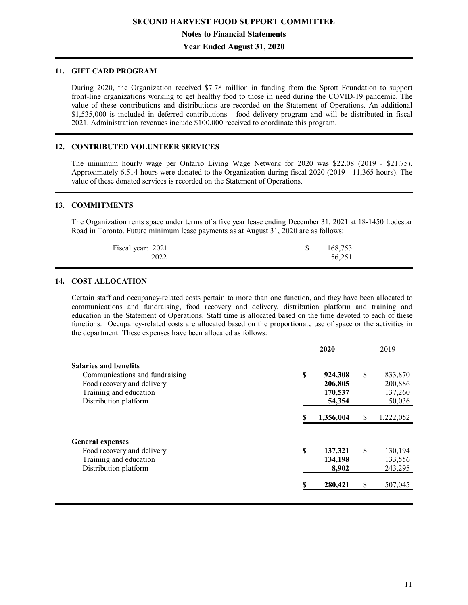**Year Ended August 31, 2020**

### **11. GIFT CARD PROGRAM**

During 2020, the Organization received \$7.78 million in funding from the Sprott Foundation to support front-line organizations working to get healthy food to those in need during the COVID-19 pandemic. The value of these contributions and distributions are recorded on the Statement of Operations. An additional \$1,535,000 is included in deferred contributions - food delivery program and will be distributed in fiscal 2021. Administration revenues include \$100,000 received to coordinate this program.

#### **12. CONTRIBUTED VOLUNTEER SERVICES**

The minimum hourly wage per Ontario Living Wage Network for 2020 was \$22.08 (2019 - \$21.75). Approximately 6,514 hours were donated to the Organization during fiscal 2020 (2019 - 11,365 hours). The value of these donated services is recorded on the Statement of Operations.

#### **13. COMMITMENTS**

The Organization rents space under terms of a five year lease ending December 31, 2021 at 18-1450 Lodestar Road in Toronto. Future minimum lease payments as at August 31, 2020 are as follows:

| Fiscal year: 2021 | 168,753 |
|-------------------|---------|
| 2022              | 56,251  |

#### **14. COST ALLOCATION**

Certain staff and occupancy-related costs pertain to more than one function, and they have been allocated to communications and fundraising, food recovery and delivery, distribution platform and training and education in the Statement of Operations. Staff time is allocated based on the time devoted to each of these functions. Occupancy-related costs are allocated based on the proportionate use of space or the activities in the department. These expenses have been allocated as follows:

|                                |   | 2020      | 2019            |
|--------------------------------|---|-----------|-----------------|
| <b>Salaries and benefits</b>   |   |           |                 |
| Communications and fundraising | S | 924,308   | \$<br>833,870   |
| Food recovery and delivery     |   | 206,805   | 200,886         |
| Training and education         |   | 170,537   | 137,260         |
| Distribution platform          |   | 54,354    | 50,036          |
|                                |   | 1,356,004 | \$<br>1,222,052 |
|                                |   |           |                 |
| <b>General expenses</b>        |   |           |                 |
| Food recovery and delivery     | S | 137,321   | \$<br>130,194   |
| Training and education         |   | 134,198   | 133,556         |
| Distribution platform          |   | 8,902     | 243,295         |
|                                |   | 280,421   | \$<br>507,045   |
|                                |   |           |                 |